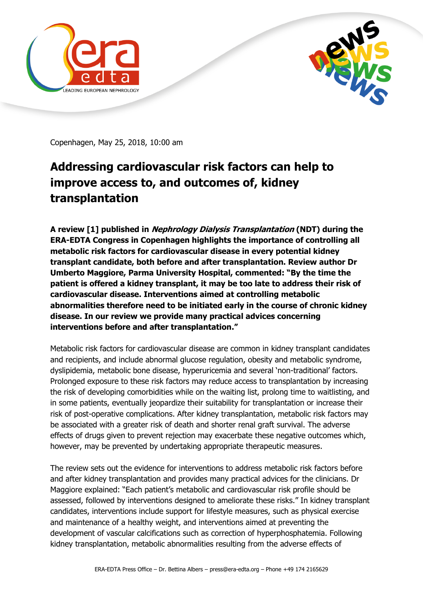



Copenhagen, May 25, 2018, 10:00 am

## **Addressing cardiovascular risk factors can help to improve access to, and outcomes of, kidney transplantation**

**A review [1] published in Nephrology Dialysis Transplantation (NDT) during the ERA-EDTA Congress in Copenhagen highlights the importance of controlling all metabolic risk factors for cardiovascular disease in every potential kidney transplant candidate, both before and after transplantation. Review author Dr Umberto Maggiore, Parma University Hospital, commented: "By the time the patient is offered a kidney transplant, it may be too late to address their risk of cardiovascular disease. Interventions aimed at controlling metabolic abnormalities therefore need to be initiated early in the course of chronic kidney disease. In our review we provide many practical advices concerning interventions before and after transplantation."**

Metabolic risk factors for cardiovascular disease are common in kidney transplant candidates and recipients, and include abnormal glucose regulation, obesity and metabolic syndrome, dyslipidemia, metabolic bone disease, hyperuricemia and several 'non-traditional' factors. Prolonged exposure to these risk factors may reduce access to transplantation by increasing the risk of developing comorbidities while on the waiting list, prolong time to waitlisting, and in some patients, eventually jeopardize their suitability for transplantation or increase their risk of post-operative complications. After kidney transplantation, metabolic risk factors may be associated with a greater risk of death and shorter renal graft survival. The adverse effects of drugs given to prevent rejection may exacerbate these negative outcomes which, however, may be prevented by undertaking appropriate therapeutic measures.

The review sets out the evidence for interventions to address metabolic risk factors before and after kidney transplantation and provides many practical advices for the clinicians. Dr Maggiore explained: "Each patient's metabolic and cardiovascular risk profile should be assessed, followed by interventions designed to ameliorate these risks." In kidney transplant candidates, interventions include support for lifestyle measures, such as physical exercise and maintenance of a healthy weight, and interventions aimed at preventing the development of vascular calcifications such as correction of hyperphosphatemia. Following kidney transplantation, metabolic abnormalities resulting from the adverse effects of